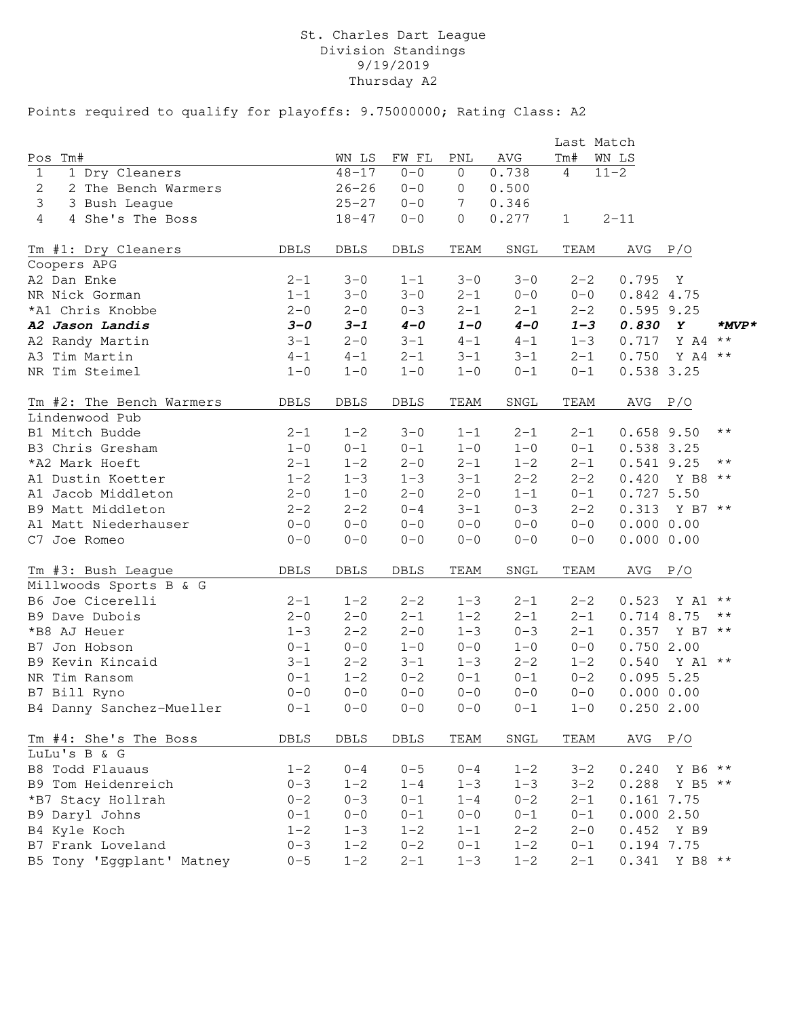### St. Charles Dart League Division Standings 9/19/2019 Thursday A2

|                                    |             |           |         |                |              | Last Match     |              |                 |                |
|------------------------------------|-------------|-----------|---------|----------------|--------------|----------------|--------------|-----------------|----------------|
| Tm#<br>Pos                         |             | WN LS     | FW FL   | PNL            | AVG          | Tm#            | WN LS        |                 |                |
| 1 Dry Cleaners<br>$\mathbf{1}$     |             | $48 - 17$ | $0 - 0$ | $\overline{0}$ | 0.738        | $\overline{4}$ | $11 - 2$     |                 |                |
| 2<br>2 The Bench Warmers           |             | $26 - 26$ | $0 - 0$ | 0              | 0.500        |                |              |                 |                |
| 3<br>3 Bush League                 |             | $25 - 27$ | $0 - 0$ | 7              | 0.346        |                |              |                 |                |
| $\overline{4}$<br>4 She's The Boss |             | $18 - 47$ | $0 - 0$ | 0              | 0.277        | $\mathbf{1}$   | $2 - 11$     |                 |                |
| Tm #1: Dry Cleaners                | <b>DBLS</b> | DBLS      | DBLS    | TEAM           | SNGL         | TEAM           | AVG P/O      |                 |                |
| Coopers APG                        |             |           |         |                |              |                |              |                 |                |
| A2 Dan Enke                        | $2 - 1$     | $3 - 0$   | $1 - 1$ | $3 - 0$        | $3 - 0$      | $2 - 2$        | 0.795        | $\mathbf{Y}$    |                |
| NR Nick Gorman                     | $1 - 1$     | $3 - 0$   | $3 - 0$ | $2 - 1$        | $0 - 0$      | $0 - 0$        | 0.842 4.75   |                 |                |
| *A1 Chris Knobbe                   | $2 - 0$     | $2 - 0$   | $0 - 3$ | $2 - 1$        | $2 - 1$      | $2 - 2$        | $0.595$ 9.25 |                 |                |
| A2 Jason Landis                    | $3 - 0$     | $3 - 1$   | $4 - 0$ | $1 - 0$        | $4 - 0$      | $1 - 3$        | 0.830        | $\mathbf{Y}$    | $*_{MVP}*$     |
| A2 Randy Martin                    | $3 - 1$     | $2 - 0$   | $3 - 1$ | $4 - 1$        | $4 - 1$      | $1 - 3$        | 0.717        | Y A4            | $\star\star$   |
| A3 Tim Martin                      | $4 - 1$     | $4 - 1$   | $2 - 1$ | $3 - 1$        | $3 - 1$      | $2 - 1$        | 0.750        | Y A4 **         |                |
| NR Tim Steimel                     | $1 - 0$     | $1 - 0$   | $1 - 0$ | $1 - 0$        | $0 - 1$      | $0 - 1$        | 0.538 3.25   |                 |                |
| Tm #2: The Bench Warmers           | DBLS        | DBLS      | DBLS    | TEAM           | ${\tt SNGL}$ | TEAM           | AVG          | P/O             |                |
| Lindenwood Pub                     |             |           |         |                |              |                |              |                 |                |
| B1 Mitch Budde                     | $2 - 1$     | $1 - 2$   | $3 - 0$ | $1 - 1$        | $2 - 1$      | $2 - 1$        | $0.658$ 9.50 |                 | $\star\star$   |
| B3 Chris Gresham                   | $1 - 0$     | $0 - 1$   | $0 - 1$ | $1 - 0$        | $1 - 0$      | $0 - 1$        | 0.538 3.25   |                 |                |
| *A2 Mark Hoeft                     | $2 - 1$     | $1 - 2$   | $2 - 0$ | $2 - 1$        | $1 - 2$      | $2 - 1$        | 0.541 9.25   |                 | $\star\star$   |
| A1 Dustin Koetter                  | $1 - 2$     | $1 - 3$   | $1 - 3$ | $3 - 1$        | $2 - 2$      | $2 - 2$        |              | $0.420$ Y B8 ** |                |
| A1 Jacob Middleton                 | $2 - 0$     | $1 - 0$   | $2 - 0$ | $2 - 0$        | $1 - 1$      | $0 - 1$        | 0.7275.50    |                 |                |
| B9 Matt Middleton                  | $2 - 2$     | $2 - 2$   | $0 - 4$ | $3 - 1$        | $0 - 3$      | $2 - 2$        |              | 0.313 Y B7 **   |                |
| A1 Matt Niederhauser               | $0 - 0$     | $0 - 0$   | $0 - 0$ | $0 - 0$        | $0 - 0$      | $0 - 0$        | 0.00000.00   |                 |                |
| C7 Joe Romeo                       | $0 - 0$     | $0 - 0$   | $0 - 0$ | $0 - 0$        | $0 - 0$      | $0 - 0$        | 0.00000.00   |                 |                |
| Tm #3: Bush League                 | DBLS        | DBLS      | DBLS    | TEAM           | ${\tt SNGL}$ | TEAM           | $AVG$ $P/O$  |                 |                |
| Millwoods Sports B & G             |             |           |         |                |              |                |              |                 |                |
| B6 Joe Cicerelli                   | $2 - 1$     | $1 - 2$   | $2 - 2$ | $1 - 3$        | $2 - 1$      | $2 - 2$        | 0.523        | Y A1            | $\star\star$   |
| B9 Dave Dubois                     | $2 - 0$     | $2 - 0$   | $2 - 1$ | $1 - 2$        | $2 - 1$      | $2 - 1$        | 0.714 8.75   |                 | $\star\,\star$ |
| *B8 AJ Heuer                       | $1 - 3$     | $2 - 2$   | $2 - 0$ | $1 - 3$        | $0 - 3$      | $2 - 1$        | 0.357        | Y B7 **         |                |
| B7 Jon Hobson                      | $0 - 1$     | $0 - 0$   | $1 - 0$ | $0 - 0$        | $1 - 0$      | $0 - 0$        | 0.7502.00    |                 |                |
| B9 Kevin Kincaid                   | $3 - 1$     | $2 - 2$   | $3 - 1$ | $1 - 3$        | $2 - 2$      | $1 - 2$        |              | $0.540$ Y A1 ** |                |
| NR Tim Ransom                      | $0 - 1$     | $1 - 2$   | $0 - 2$ | $0 - 1$        | $0 - 1$      | $0 - 2$        | 0.0955.25    |                 |                |
| B7 Bill Ryno                       | $0 - 0$     | $0 - 0$   | $0 - 0$ | $0 - 0$        | $0 - 0$      | $0 - 0$        | 0.0000.00    |                 |                |
| B4 Danny Sanchez-Mueller           | $0 - 1$     | $0 - 0$   | $0 - 0$ | $0 - 0$        | $0 - 1$      | $1 - 0$        | 0.2502.00    |                 |                |
| Tm #4: She's The Boss              | DBLS        | DBLS      | DBLS    | TEAM           | SNGL         | TEAM           | $AVG$ $P/O$  |                 |                |
| LuLu's B & G                       |             |           |         |                |              |                |              |                 |                |
| B8 Todd Flauaus                    | $1 - 2$     | $0 - 4$   | $0 - 5$ | $0 - 4$        | $1 - 2$      | $3 - 2$        | 0.240        | Y B6 **         |                |
| B9 Tom Heidenreich                 | $0 - 3$     | $1 - 2$   | $1 - 4$ | $1 - 3$        | $1 - 3$      | $3 - 2$        | 0.288        | Y B5 **         |                |
| *B7 Stacy Hollrah                  | $0 - 2$     | $0 - 3$   | $0 - 1$ | $1 - 4$        | $0 - 2$      | $2 - 1$        | 0.1617.75    |                 |                |
| B9 Daryl Johns                     | $0 - 1$     | $0 - 0$   | $0 - 1$ | $0 - 0$        | $0 - 1$      | $0 - 1$        | 0.0002.50    |                 |                |
| B4 Kyle Koch                       | $1 - 2$     | $1 - 3$   | $1 - 2$ | $1 - 1$        | $2 - 2$      | $2 - 0$        | 0.452        | Y B9            |                |
| B7 Frank Loveland                  | $0 - 3$     | $1 - 2$   | $0 - 2$ | $0 - 1$        | $1 - 2$      | $0 - 1$        | 0.194 7.75   |                 |                |
| B5 Tony 'Eggplant' Matney          | $0 - 5$     | $1 - 2$   | $2 - 1$ | $1 - 3$        | $1 - 2$      | $2 - 1$        | 0.341        | Y B8 **         |                |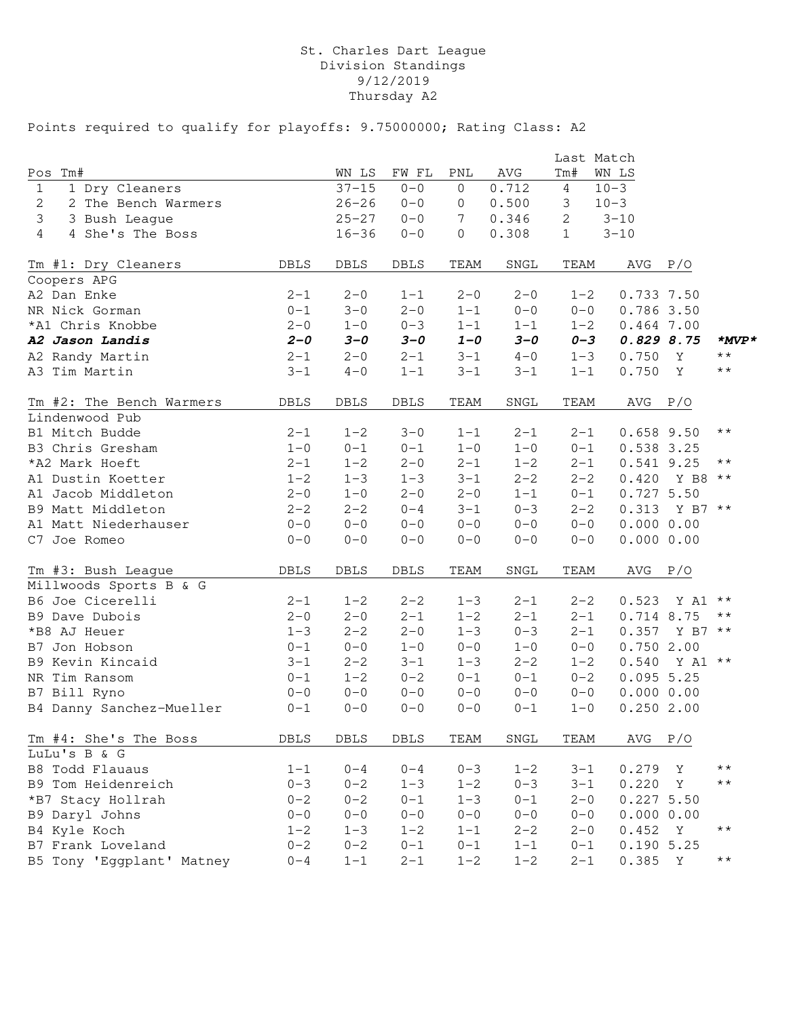# St. Charles Dart League Division Standings 9/12/2019 Thursday A2

|                                |             |             |             |                |         |                | Last Match   |              |                |
|--------------------------------|-------------|-------------|-------------|----------------|---------|----------------|--------------|--------------|----------------|
| Pos<br>Tm#                     |             | WN LS       | FW FL       | PNL            | AVG     | Tm#            | WN LS        |              |                |
| 1 Dry Cleaners<br>$\mathbf{1}$ |             | $37 - 15$   | $0 - 0$     | 0              | 0.712   | $\overline{4}$ | $10 - 3$     |              |                |
| 2 The Bench Warmers<br>2       |             | $26 - 26$   | $0 - 0$     | 0              | 0.500   | 3              | $10 - 3$     |              |                |
| 3<br>3 Bush League             |             | $25 - 27$   | $0 - 0$     | 7              | 0.346   | $\mathbf{2}$   | $3 - 10$     |              |                |
| 4<br>4 She's The Boss          |             | $16 - 36$   | $0 - 0$     | $\overline{0}$ | 0.308   | $\mathbf 1$    | $3 - 10$     |              |                |
| Tm #1: Dry Cleaners            | <b>DBLS</b> | DBLS        | DBLS        | TEAM           | SNGL    | TEAM           | AVG          | P/O          |                |
| Coopers APG                    |             |             |             |                |         |                |              |              |                |
| A2 Dan Enke                    | $2 - 1$     | $2 - 0$     | $1 - 1$     | $2 - 0$        | $2 - 0$ | $1 - 2$        | 0.733 7.50   |              |                |
| NR Nick Gorman                 | $0 - 1$     | $3 - 0$     | $2 - 0$     | $1 - 1$        | $0 - 0$ | $0 - 0$        | 0.786 3.50   |              |                |
| *A1 Chris Knobbe               | $2 - 0$     | $1 - 0$     | $0 - 3$     | $1 - 1$        | $1 - 1$ | $1 - 2$        | $0.464$ 7.00 |              |                |
| A2 Jason Landis                | $2 - 0$     | $3 - 0$     | $3 - 0$     | $1 - 0$        | $3 - 0$ | $0 - 3$        | 0.8298.75    |              | $*_{MVP}*$     |
| A2 Randy Martin                | $2 - 1$     | $2 - 0$     | $2 - 1$     | $3 - 1$        | $4 - 0$ | $1 - 3$        | 0.750        | Y            | $\star\,\star$ |
| A3 Tim Martin                  | $3 - 1$     | $4 - 0$     | $1 - 1$     | $3 - 1$        | $3 - 1$ | $1 - 1$        | 0.750        | $\mathbf{Y}$ | $\star\star$   |
| Tm #2: The Bench Warmers       | DBLS        | <b>DBLS</b> | DBLS        | TEAM           | SNGL    | TEAM           | AVG          | P/O          |                |
| Lindenwood Pub                 |             |             |             |                |         |                |              |              |                |
| B1 Mitch Budde                 | $2 - 1$     | $1 - 2$     | $3 - 0$     | $1 - 1$        | $2 - 1$ | $2 - 1$        | $0.658$ 9.50 |              | $\star\star$   |
| B3 Chris Gresham               | $1 - 0$     | $0 - 1$     | $0 - 1$     | $1 - 0$        | $1 - 0$ | $0 - 1$        | 0.538 3.25   |              |                |
| *A2 Mark Hoeft                 | $2 - 1$     | $1 - 2$     | $2 - 0$     | $2 - 1$        | $1 - 2$ | $2 - 1$        | 0.541 9.25   |              | $\star\star$   |
| A1 Dustin Koetter              | $1 - 2$     | $1 - 3$     | $1 - 3$     | $3 - 1$        | $2 - 2$ | $2 - 2$        | 0.420        | Y B8 **      |                |
| A1 Jacob Middleton             | $2 - 0$     | $1 - 0$     | $2 - 0$     | $2 - 0$        | $1 - 1$ | $0 - 1$        | 0.7275.50    |              |                |
| B9 Matt Middleton              | $2 - 2$     | $2 - 2$     | $0 - 4$     | $3 - 1$        | $0 - 3$ | $2 - 2$        | 0.313        | Y B7 **      |                |
| A1 Matt Niederhauser           | $0 - 0$     | $0 - 0$     | $0 - 0$     | $0 - 0$        | $0 - 0$ | $0 - 0$        | 0.00000.00   |              |                |
| C7 Joe Romeo                   | $0 - 0$     | $0 - 0$     | $0 - 0$     | $0 - 0$        | $0 - 0$ | $0 - 0$        | 0.00000.00   |              |                |
| Tm #3: Bush League             | <b>DBLS</b> | <b>DBLS</b> | <b>DBLS</b> | TEAM           | SNGL    | TEAM           | AVG          | P/O          |                |
| Millwoods Sports B & G         |             |             |             |                |         |                |              |              |                |
| B6 Joe Cicerelli               | $2 - 1$     | $1 - 2$     | $2 - 2$     | $1 - 3$        | $2 - 1$ | $2 - 2$        | 0.523        | Y A1         | $\star\star$   |
| B9 Dave Dubois                 | $2 - 0$     | $2 - 0$     | $2 - 1$     | $1 - 2$        | $2 - 1$ | $2 - 1$        | 0.714 8.75   |              | $\star\star$   |
| *B8 AJ Heuer                   | $1 - 3$     | $2 - 2$     | $2 - 0$     | $1 - 3$        | $0 - 3$ | $2 - 1$        | 0.357        | Y B7 **      |                |
| B7 Jon Hobson                  | $0 - 1$     | $0 - 0$     | $1 - 0$     | $0 - 0$        | $1 - 0$ | $0 - 0$        | 0.7502.00    |              |                |
| B9 Kevin Kincaid               | $3 - 1$     | $2 - 2$     | $3 - 1$     | $1 - 3$        | $2 - 2$ | $1 - 2$        | 0.540        | Y A1 **      |                |
| NR Tim Ransom                  | $0 - 1$     | $1 - 2$     | $0 - 2$     | $0 - 1$        | $0 - 1$ | $0 - 2$        | 0.0955.25    |              |                |
| B7 Bill Ryno                   | $0 - 0$     | $0 - 0$     | $0 - 0$     | $0 - 0$        | $0 - 0$ | $0 - 0$        | 0.00000.00   |              |                |
| B4 Danny Sanchez-Mueller       | $0 - 1$     | $0 - 0$     | $0 - 0$     | $0 - 0$        | $0 - 1$ | $1 - 0$        | 0.2502.00    |              |                |
| Tm #4: She's The Boss          | DBLS        | DBLS        | DBLS        | TEAM           | SNGL    | TEAM           | AVG          | P/O          |                |
| LuLu's B & G                   |             |             |             |                |         |                |              |              |                |
| B8 Todd Flauaus                | $1 - 1$     | $0 - 4$     | $0 - 4$     | $0 - 3$        | $1 - 2$ | $3 - 1$        | 0.279        | Υ            | $\star\,\star$ |
| B9 Tom Heidenreich             | $0 - 3$     | $0 - 2$     | $1 - 3$     | $1 - 2$        | $0 - 3$ | $3 - 1$        | 0.220        | Υ            | $\star\,\star$ |
| *B7 Stacy Hollrah              | $0 - 2$     | $0 - 2$     | $0 - 1$     | $1 - 3$        | $0 - 1$ | $2 - 0$        | 0.2275.50    |              |                |
| B9 Daryl Johns                 | $0 - 0$     | $0 - 0$     | $0 - 0$     | $0 - 0$        | $0 - 0$ | $0 - 0$        | 0.00000.00   |              |                |
| B4 Kyle Koch                   | $1 - 2$     | $1 - 3$     | $1 - 2$     | $1 - 1$        | $2 - 2$ | $2 - 0$        | 0.452        | $\mathbf{Y}$ | $\star\star$   |
| B7 Frank Loveland              | $0 - 2$     | $0 - 2$     | $0 - 1$     | $0 - 1$        | $1 - 1$ | $0 - 1$        | 0.1905.25    |              |                |
| B5 Tony 'Eggplant' Matney      | $0 - 4$     | $1 - 1$     | $2 - 1$     | $1 - 2$        | $1 - 2$ | $2 - 1$        | 0.385        | $\mathbf{Y}$ | $\star\star$   |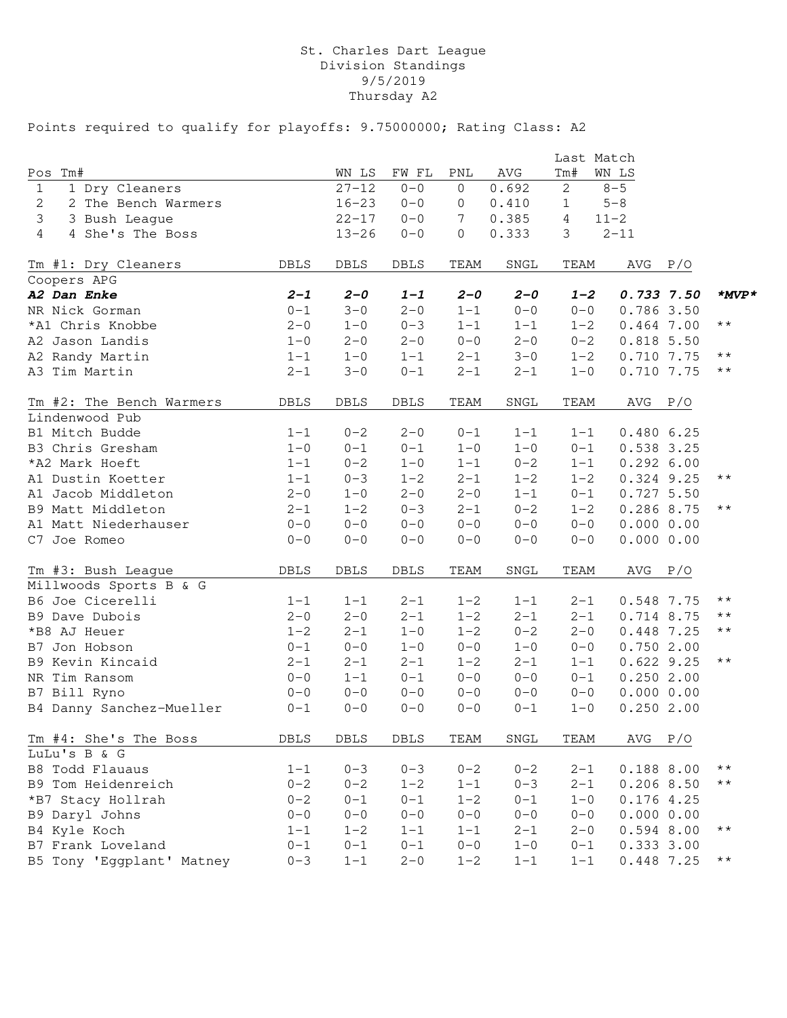# St. Charles Dart League Division Standings 9/5/2019 Thursday A2

|                                |             |             |             |                |         | Last Match     |              |                 |
|--------------------------------|-------------|-------------|-------------|----------------|---------|----------------|--------------|-----------------|
| Pos<br>Tm#                     |             | WN LS       | FW FL       | PNL            | AVG     | Tm#            | WN LS        |                 |
| 1 Dry Cleaners<br>$\mathbf{1}$ |             | $27 - 12$   | $0 - 0$     | 0              | 0.692   | $\mathbf{2}$   | $8 - 5$      |                 |
| 2 The Bench Warmers<br>2       |             | $16 - 23$   | $0 - 0$     | 0              | 0.410   | $\mathbf{1}$   | $5 - 8$      |                 |
| 3<br>3 Bush League             |             | $22 - 17$   | $0 - 0$     | 7              | 0.385   | $\overline{4}$ | $11 - 2$     |                 |
| 4<br>4 She's The Boss          |             | $13 - 26$   | $0 - 0$     | $\overline{0}$ | 0.333   | 3              | $2 - 11$     |                 |
| Tm #1: Dry Cleaners            | <b>DBLS</b> | DBLS        | DBLS        | TEAM           | SNGL    | TEAM           | AVG<br>P/O   |                 |
| Coopers APG                    |             |             |             |                |         |                |              |                 |
| A2 Dan Enke                    | $2 - 1$     | $2 - 0$     | $1 - 1$     | $2 - 0$        | $2 - 0$ | $1 - 2$        | 0.7337.50    | $*_{MVP}*$      |
| NR Nick Gorman                 | $0 - 1$     | $3 - 0$     | $2 - 0$     | $1 - 1$        | $0 - 0$ | $0 - 0$        | 0.7863.50    |                 |
| *A1 Chris Knobbe               | $2 - 0$     | $1 - 0$     | $0 - 3$     | $1 - 1$        | $1 - 1$ | $1 - 2$        | $0.464$ 7.00 | $\star\,\star$  |
| A2 Jason Landis                | $1 - 0$     | $2 - 0$     | $2 - 0$     | $0 - 0$        | $2 - 0$ | $0 - 2$        | $0.818$ 5.50 |                 |
| A2 Randy Martin                | $1 - 1$     | $1 - 0$     | $1 - 1$     | $2 - 1$        | $3 - 0$ | $1 - 2$        | 0.710 7.75   | $\star\,\star$  |
| A3 Tim Martin                  | $2 - 1$     | $3 - 0$     | $0 - 1$     | $2 - 1$        | $2 - 1$ | $1 - 0$        | 0.710 7.75   | $\star\star$    |
| Tm #2: The Bench Warmers       | <b>DBLS</b> | <b>DBLS</b> | DBLS        | TEAM           | SNGL    | TEAM           | AVG<br>P/O   |                 |
| Lindenwood Pub                 |             |             |             |                |         |                |              |                 |
| B1 Mitch Budde                 | $1 - 1$     | $0 - 2$     | $2 - 0$     | $0 - 1$        | $1 - 1$ | $1 - 1$        | 0.4806.25    |                 |
| B3 Chris Gresham               | $1 - 0$     | $0 - 1$     | $0 - 1$     | $1 - 0$        | $1 - 0$ | $0 - 1$        | 0.538 3.25   |                 |
| *A2 Mark Hoeft                 | $1 - 1$     | $0 - 2$     | $1 - 0$     | $1 - 1$        | $0 - 2$ | $1 - 1$        | 0.2926.00    |                 |
| A1 Dustin Koetter              | $1 - 1$     | $0 - 3$     | $1 - 2$     | $2 - 1$        | $1 - 2$ | $1 - 2$        | 0.324 9.25   | $\star\,\star$  |
| A1 Jacob Middleton             | $2 - 0$     | $1 - 0$     | $2 - 0$     | $2 - 0$        | $1 - 1$ | $0 - 1$        | 0.7275.50    |                 |
| B9 Matt Middleton              | $2 - 1$     | $1 - 2$     | $0 - 3$     | $2 - 1$        | $0 - 2$ | $1 - 2$        | 0.286 8.75   | $\star\,\star$  |
| A1 Matt Niederhauser           | $0 - 0$     | $0 - 0$     | $0 - 0$     | $0 - 0$        | $0 - 0$ | $0 - 0$        | 0.00000.00   |                 |
| C7 Joe Romeo                   | $0 - 0$     | $0 - 0$     | $0 - 0$     | $0 - 0$        | $0 - 0$ | $0 - 0$        | 0.00000.00   |                 |
| Tm #3: Bush League             | <b>DBLS</b> | <b>DBLS</b> | <b>DBLS</b> | TEAM           | SNGL    | TEAM           | AVG<br>P/O   |                 |
| Millwoods Sports B & G         |             |             |             |                |         |                |              |                 |
| B6 Joe Cicerelli               | $1 - 1$     | $1 - 1$     | $2 - 1$     | $1 - 2$        | $1 - 1$ | $2 - 1$        | 0.548 7.75   | $\star\,\star$  |
| B9 Dave Dubois                 | $2 - 0$     | $2 - 0$     | $2 - 1$     | $1 - 2$        | $2 - 1$ | $2 - 1$        | 0.714 8.75   | $\star\,\star$  |
| *B8 AJ Heuer                   | $1 - 2$     | $2 - 1$     | $1 - 0$     | $1 - 2$        | $0 - 2$ | $2 - 0$        | 0.448 7.25   | $\star\,\star$  |
| B7 Jon Hobson                  | $0 - 1$     | $0 - 0$     | $1 - 0$     | $0 - 0$        | $1 - 0$ | $0 - 0$        | 0.7502.00    |                 |
| B9 Kevin Kincaid               | $2 - 1$     | $2 - 1$     | $2 - 1$     | $1 - 2$        | $2 - 1$ | $1 - 1$        | $0.622$ 9.25 | $\star\star$    |
| NR Tim Ransom                  | $0 - 0$     | $1 - 1$     | $0 - 1$     | $0 - 0$        | $0 - 0$ | $0 - 1$        | 0.2502.00    |                 |
| B7 Bill Ryno                   | $0 - 0$     | $0 - 0$     | $0 - 0$     | $0 - 0$        | $0 - 0$ | $0 - 0$        | 0.00000.00   |                 |
| B4 Danny Sanchez-Mueller       | $0 - 1$     | $0 - 0$     | $0 - 0$     | $0 - 0$        | $0 - 1$ | $1 - 0$        | 0.2502.00    |                 |
| Tm #4: She's The Boss          | DBLS        | DBLS        | DBLS        | TEAM           | SNGL    | TEAM           | $AVG$ $P/O$  |                 |
| LuLu's B & G                   |             |             |             |                |         |                |              |                 |
| B8 Todd Flauaus                | $1 - 1$     | $0 - 3$     | $0 - 3$     | $0 - 2$        | $0 - 2$ | $2 - 1$        | 0.188 8.00   | $\star\star$    |
| B9 Tom Heidenreich             | $0 - 2$     | $0 - 2$     | $1 - 2$     | $1 - 1$        | $0 - 3$ | $2 - 1$        | $0.206$ 8.50 | $\star\,\star$  |
| *B7 Stacy Hollrah              | $0 - 2$     | $0 - 1$     | $0 - 1$     | $1 - 2$        | $0 - 1$ | $1 - 0$        | 0.1764.25    |                 |
| B9 Daryl Johns                 | $0 - 0$     | $0 - 0$     | $0 - 0$     | $0 - 0$        | $0 - 0$ | $0 - 0$        | 0.00000.00   |                 |
| B4 Kyle Koch                   | $1 - 1$     | $1 - 2$     | $1 - 1$     | $1 - 1$        | $2 - 1$ | $2 - 0$        | 0.594 8.00   | $\star\star$    |
| B7 Frank Loveland              | $0 - 1$     | $0 - 1$     | $0 - 1$     | $0 - 0$        | $1 - 0$ | $0 - 1$        | 0.3333.00    |                 |
| B5 Tony 'Eggplant' Matney      | $0 - 3$     | $1 - 1$     | $2 - 0$     | $1 - 2$        | $1 - 1$ | $1 - 1$        | 0.448 7.25   | $\star$ $\star$ |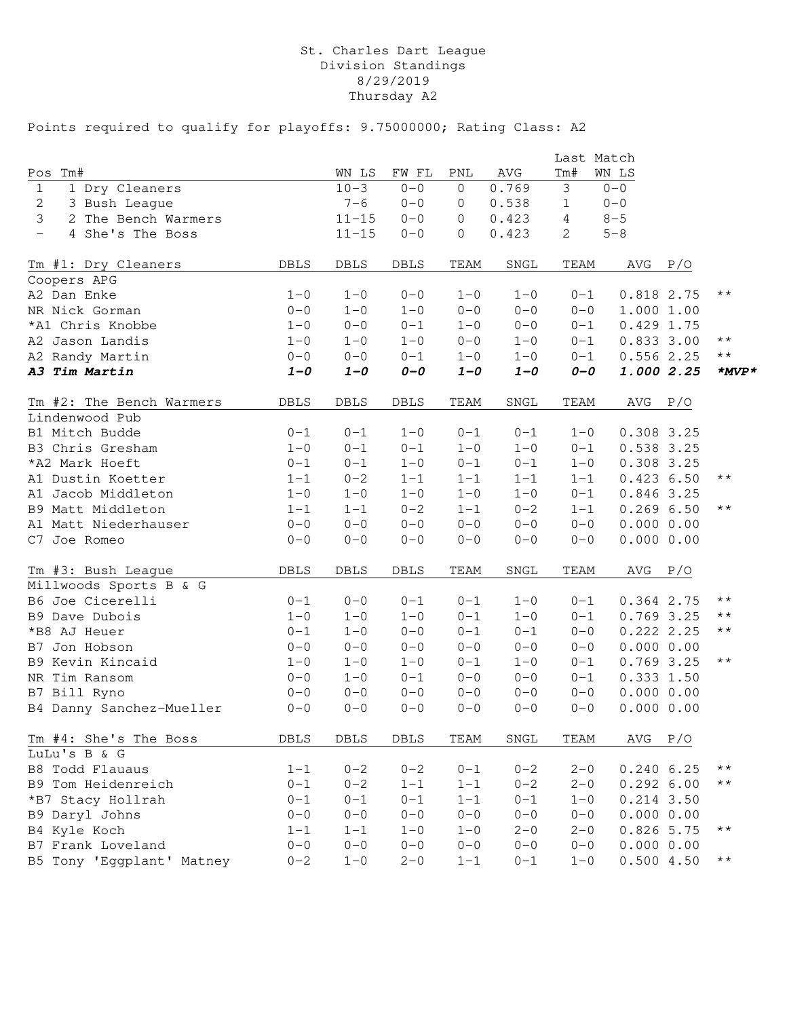# St. Charles Dart League Division Standings 8/29/2019 Thursday A2

|                                              |             |             |             |                |              | Last Match     |              |     |                 |
|----------------------------------------------|-------------|-------------|-------------|----------------|--------------|----------------|--------------|-----|-----------------|
| Pos<br>Tm#                                   |             | WN LS       | FW FL       | PNL            | AVG          | Tm#            | WN LS        |     |                 |
| $\mathbf{1}$<br>1 Dry Cleaners               |             | $10 - 3$    | $0 - 0$     | $\overline{0}$ | 0.769        | 3              | $0 - 0$      |     |                 |
| 2<br>3 Bush League                           |             | $7 - 6$     | $0 - 0$     | 0              | 0.538        | $\mathbf{1}$   | $0 - 0$      |     |                 |
| $\mathcal{S}$<br>2 The Bench Warmers         |             | $11 - 15$   | $0 - 0$     | 0              | 0.423        | $\overline{4}$ | $8 - 5$      |     |                 |
| 4 She's The Boss<br>$\overline{\phantom{0}}$ |             | $11 - 15$   | $0 - 0$     | 0              | 0.423        | 2              | $5 - 8$      |     |                 |
| Tm #1: Dry Cleaners                          | DBLS        | DBLS        | DBLS        | TEAM           | SNGL         | TEAM           | AVG          | P/O |                 |
| Coopers APG                                  |             |             |             |                |              |                |              |     |                 |
| A2 Dan Enke                                  | $1 - 0$     | $1 - 0$     | $0 - 0$     | $1 - 0$        | $1 - 0$      | $0 - 1$        | 0.818 2.75   |     | $\star\star$    |
| NR Nick Gorman                               | $0 - 0$     | $1 - 0$     | $1 - 0$     | $0 - 0$        | $0 - 0$      | $0 - 0$        | 1.000 1.00   |     |                 |
| *A1 Chris Knobbe                             | $1 - 0$     | $0 - 0$     | $0 - 1$     | $1 - 0$        | $0 - 0$      | $0 - 1$        | $0.429$ 1.75 |     |                 |
| A2 Jason Landis                              | $1 - 0$     | $1 - 0$     | $1 - 0$     | $0 - 0$        | $1 - 0$      | $0 - 1$        | 0.8333.00    |     | $\star$ $\star$ |
| A2 Randy Martin                              | $0 - 0$     | $0 - 0$     | $0 - 1$     | $1 - 0$        | $1 - 0$      | $0 - 1$        | 0.5562.25    |     | $\star$ $\star$ |
| A3 Tim Martin                                | $1 - 0$     | $1 - 0$     | $O-O$       | $1 - 0$        | $1 - 0$      | $O-O$          | 1.000 2.25   |     | $*_{MVP}*$      |
| Tm #2: The Bench Warmers                     | <b>DBLS</b> | DBLS        | DBLS        | TEAM           | ${\tt SNGL}$ | TEAM           | AVG          | P/O |                 |
| Lindenwood Pub                               |             |             |             |                |              |                |              |     |                 |
| B1 Mitch Budde                               | $0 - 1$     | $0 - 1$     | $1 - 0$     | $0 - 1$        | $0 - 1$      | $1 - 0$        | 0.308 3.25   |     |                 |
| B3 Chris Gresham                             | $1 - 0$     | $0 - 1$     | $0 - 1$     | $1 - 0$        | $1 - 0$      | $0 - 1$        | 0.538 3.25   |     |                 |
| *A2 Mark Hoeft                               | $0 - 1$     | $0 - 1$     | $1 - 0$     | $0 - 1$        | $0 - 1$      | $1 - 0$        | 0.308 3.25   |     |                 |
| A1 Dustin Koetter                            | $1 - 1$     | $0 - 2$     | $1 - 1$     | $1 - 1$        | $1 - 1$      | $1 - 1$        | 0.4236.50    |     | $\star\star$    |
| A1 Jacob Middleton                           | $1 - 0$     | $1 - 0$     | $1 - 0$     | $1 - 0$        | $1 - 0$      | $0 - 1$        | 0.846 3.25   |     |                 |
| B9 Matt Middleton                            | $1 - 1$     | $1 - 1$     | $0 - 2$     | $1 - 1$        | $0 - 2$      | $1 - 1$        | 0.2696.50    |     | $\star\star$    |
| A1 Matt Niederhauser                         | $0 - 0$     | $0 - 0$     | $0 - 0$     | $0 - 0$        | $0 - 0$      | $0 - 0$        | 0.00000.00   |     |                 |
| C7 Joe Romeo                                 | $0 - 0$     | $0 - 0$     | $0 - 0$     | $0 - 0$        | $0 - 0$      | $0 - 0$        | 0.00000.00   |     |                 |
| Tm #3: Bush League                           | <b>DBLS</b> | <b>DBLS</b> | <b>DBLS</b> | TEAM           | SNGL         | TEAM           | AVG          | P/O |                 |
| Millwoods Sports B & G                       |             |             |             |                |              |                |              |     |                 |
| B6 Joe Cicerelli                             | $0 - 1$     | $0 - 0$     | $0 - 1$     | $0 - 1$        | $1 - 0$      | $0 - 1$        | 0.364 2.75   |     | $\star\,\star$  |
| B9 Dave Dubois                               | $1 - 0$     | $1 - 0$     | $1 - 0$     | $0 - 1$        | $1 - 0$      | $0 - 1$        | 0.769 3.25   |     | $\star\,\star$  |
| *B8 AJ Heuer                                 | $0 - 1$     | $1 - 0$     | $0 - 0$     | $0 - 1$        | $0 - 1$      | $0 - 0$        | 0.2222.2.25  |     | $\star\,\star$  |
| B7 Jon Hobson                                | $0 - 0$     | $0 - 0$     | $0 - 0$     | $0 - 0$        | $0 - 0$      | $0 - 0$        | 0.00000.00   |     |                 |
| B9 Kevin Kincaid                             | $1 - 0$     | $1 - 0$     | $1 - 0$     | $0 - 1$        | $1 - 0$      | $0 - 1$        | 0.769 3.25   |     | $\star\,\star$  |
| NR Tim Ransom                                | $0 - 0$     | $1 - 0$     | $0 - 1$     | $0 - 0$        | $0 - 0$      | $0 - 1$        | 0.3331.50    |     |                 |
| B7 Bill Ryno                                 | $0 - 0$     | $0 - 0$     | $0 - 0$     | $0 - 0$        | $0 - 0$      | $0 - 0$        | 0.00000.00   |     |                 |
| B4 Danny Sanchez-Mueller                     | $0 - 0$     | $0 - 0$     | $0 - 0$     | $0 - 0$        | $0 - 0$      | $0 - 0$        | 0.00000.00   |     |                 |
| Tm #4: She's The Boss                        | DBLS        | DBLS        | DBLS        | TEAM           | SNGL         | TEAM           | $AVG$ $P/O$  |     |                 |
| LuLu's B & G                                 |             |             |             |                |              |                |              |     |                 |
| B8 Todd Flauaus                              | $1 - 1$     | $0 - 2$     | $0 - 2$     | $0 - 1$        | $0 - 2$      | $2 - 0$        | 0.2406.25    |     | $\star\star$    |
| B9 Tom Heidenreich                           | $0 - 1$     | $0 - 2$     | $1 - 1$     | $1 - 1$        | $0 - 2$      | $2 - 0$        | 0.2926.00    |     | $\star\star$    |
| *B7 Stacy Hollrah                            | $0 - 1$     | $0 - 1$     | $0 - 1$     | $1 - 1$        | $0 - 1$      | $1 - 0$        | $0.214$ 3.50 |     |                 |
| B9 Daryl Johns                               | $0 - 0$     | $0 - 0$     | $0 - 0$     | $0 - 0$        | $0 - 0$      | $0 - 0$        | 0.00000.00   |     |                 |
| B4 Kyle Koch                                 | $1 - 1$     | $1 - 1$     | $1 - 0$     | $1 - 0$        | $2 - 0$      | $2 - 0$        | 0.826 5.75   |     | $\star\star$    |
| B7 Frank Loveland                            | $0 - 0$     | $0 - 0$     | $0 - 0$     | $0 - 0$        | $0 - 0$      | $0 - 0$        | 0.00000.00   |     |                 |
| B5 Tony 'Eggplant' Matney                    | $0 - 2$     | $1 - 0$     | $2 - 0$     | $1 - 1$        | $0 - 1$      | $1 - 0$        | 0.5004.50    |     | $\star\star$    |